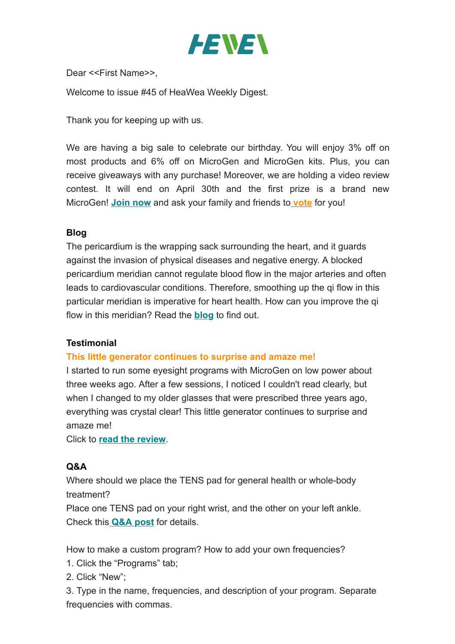

Dear <<First Name>>,

Welcome to issue #45 of HeaWea Weekly Digest.

Thank you for keeping up with us.

We are having a big sale to celebrate our birthday. You will enjoy 3% off on most products and 6% off on MicroGen and MicroGen kits. Plus, you can receive giveaways with any purchase! Moreover, we are holding a video review contest. It will end on April 30th and the first prize is a brand new MicroGen! **[Join now](https://www.heawea.com/share-your-story-with-heawea-and-earn-big-prizes-during-the-anniversary-sale/)** and ask your family and friends to **[vote](https://www.heawea.com/vote-for-your-favorite-heawea-video-story-during-heawea-1st-anniversary/)** for you!

# **Blog**

The pericardium is the wrapping sack surrounding the heart, and it guards against the invasion of physical diseases and negative energy. A blocked pericardium meridian cannot regulate blood flow in the major arteries and often leads to cardiovascular conditions. Therefore, smoothing up the qi flow in this particular meridian is imperative for heart health. How can you improve the qi flow in this meridian? Read the **[blog](https://www.heawea.com/the-pericardium-meridian-the-bodyguard-of-your-heart/)** to find out.

# **Testimonial**

# **This little generator continues to surprise and amaze me!**

I started to run some eyesight programs with MicroGen on low power about three weeks ago. After a few sessions, I noticed I couldn't read clearly, but when I changed to my older glasses that were prescribed three years ago, everything was crystal clear! This little generator continues to surprise and amaze me!

Click to **[read the](https://www.heawea.com/testimonial/this-little-generator-continues-to-surprise-and-amaze-me/) review**.

# **Q&A**

Where should we place the TENS pad for general health or whole-body treatment?

Place one TENS pad on your right wrist, and the other on your left ankle. Check this **[Q&A post](https://www.heaweasupport.com/for-general-health-or-whole-body-treatment-where-should-we-place-the-tens-pad/)** for details.

How to make a custom program? How to add your own frequencies?

- 1. Click the "Programs" tab;
- 2. Click "New";

3. Type in the name, frequencies, and description of your program. Separate frequencies with commas.